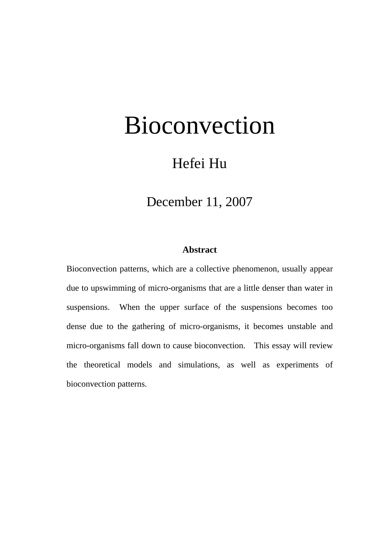# Bioconvection

# Hefei Hu

# December 11, 2007

# **Abstract**

Bioconvection patterns, which are a collective phenomenon, usually appear due to upswimming of micro-organisms that are a little denser than water in suspensions. When the upper surface of the suspensions becomes too dense due to the gathering of micro-organisms, it becomes unstable and micro-organisms fall down to cause bioconvection. This essay will review the theoretical models and simulations, as well as experiments of bioconvection patterns.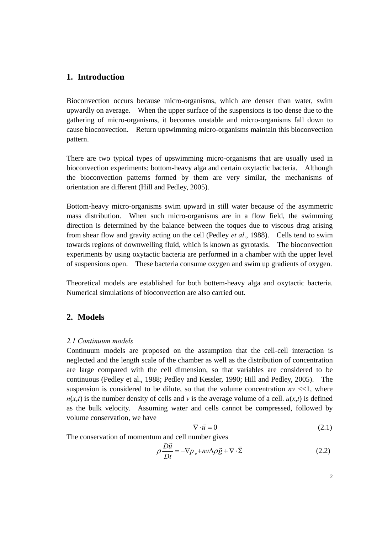## **1. Introduction**

Bioconvection occurs because micro-organisms, which are denser than water, swim upwardly on average. When the upper surface of the suspensions is too dense due to the gathering of micro-organisms, it becomes unstable and micro-organisms fall down to cause bioconvection. Return upswimming micro-organisms maintain this bioconvection pattern.

There are two typical types of upswimming micro-organisms that are usually used in bioconvection experiments: bottom-heavy alga and certain oxytactic bacteria. Although the bioconvection patterns formed by them are very similar, the mechanisms of orientation are different (Hill and Pedley, 2005).

Bottom-heavy micro-organisms swim upward in still water because of the asymmetric mass distribution. When such micro-organisms are in a flow field, the swimming direction is determined by the balance between the toques due to viscous drag arising from shear flow and gravity acting on the cell (Pedley *et al*., 1988). Cells tend to swim towards regions of downwelling fluid, which is known as gyrotaxis. The bioconvection experiments by using oxytactic bacteria are performed in a chamber with the upper level of suspensions open. These bacteria consume oxygen and swim up gradients of oxygen.

Theoretical models are established for both bottem-heavy alga and oxytactic bacteria. Numerical simulations of bioconvection are also carried out.

## **2. Models**

#### *2.1 Continuum models*

Continuum models are proposed on the assumption that the cell-cell interaction is neglected and the length scale of the chamber as well as the distribution of concentration are large compared with the cell dimension, so that variables are considered to be continuous (Pedley et al., 1988; Pedley and Kessler, 1990; Hill and Pedley, 2005). The suspension is considered to be dilute, so that the volume concentration  $nv \ll 1$ , where  $n(x,t)$  is the number density of cells and *v* is the average volume of a cell.  $u(x,t)$  is defined as the bulk velocity. Assuming water and cells cannot be compressed, followed by volume conservation, we have

$$
\nabla \cdot \vec{u} = 0 \tag{2.1}
$$

The conservation of momentum and cell number gives

$$
\rho \frac{D\vec{u}}{Dt} = -\nabla p_e + nv\Delta \rho \vec{g} + \nabla \cdot \vec{\Sigma}
$$
\n(2.2)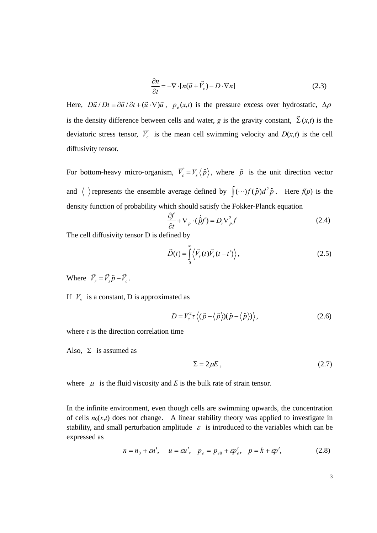$$
\frac{\partial n}{\partial t} = -\nabla \cdot [n(\vec{u} + \vec{V}_c) - D \cdot \nabla n]
$$
\n(2.3)

Here,  $D\vec{u}/Dt = \partial \vec{u}/\partial t + (\vec{u} \cdot \nabla)\vec{u}$ ,  $p_e(x,t)$  is the pressure excess over hydrostatic,  $\Delta \rho$ is the density difference between cells and water, *g* is the gravity constant,  $\vec{\Sigma}(x,t)$  is the deviatoric stress tensor,  $V_c$  $\frac{1}{\sqrt{1}}$ is the mean cell swimming velocity and  $D(x,t)$  is the cell diffusivity tensor.

For bottom-heavy micro-organism,  $\vec{V}_c = V_s \langle \hat{p} \rangle$ , where  $\hat{p}$  is the unit direction vector and  $\langle \rangle$  represents the ensemble average defined by  $\int (\cdots) f(\hat{p}) d^2 \hat{p}$ . Here  $f(p)$  is the density function of probability which should satisfy the Fokker-Planck equation

$$
\frac{\partial f}{\partial t} + \nabla_p \cdot (\dot{\hat{p}}f) = D_r \nabla_p^2 f \tag{2.4}
$$

The cell diffusivity tensor D is defined by

$$
\vec{D}(t) = \int_{0}^{\infty} \langle \vec{V}_r(t) \vec{V}_r(t - t') \rangle,
$$
\n(2.5)

Where  $\vec{V}_r = \vec{V}_s \hat{p} - \vec{V}_c$ .

If  $V<sub>s</sub>$  is a constant, D is approximated as

$$
D = V_s^2 \tau \langle (\hat{p} - \langle \hat{p} \rangle)(\hat{p} - \langle \hat{p} \rangle) \rangle, \qquad (2.6)
$$

where  $\tau$  is the direction correlation time

Also,  $\Sigma$  is assumed as

$$
\Sigma = 2\mu E \tag{2.7}
$$

where  $\mu$  is the fluid viscosity and *E* is the bulk rate of strain tensor.

In the infinite environment, even though cells are swimming upwards, the concentration of cells  $n_0(x,t)$  does not change. A linear stability theory was applied to investigate in stability, and small perturbation amplitude  $\varepsilon$  is introduced to the variables which can be expressed as

$$
n = n_0 + \varepsilon n'
$$
,  $u = \varepsilon u'$ ,  $p_e = p_{e0} + \varepsilon p'_e$ ,  $p = k + \varepsilon p'$ , (2.8)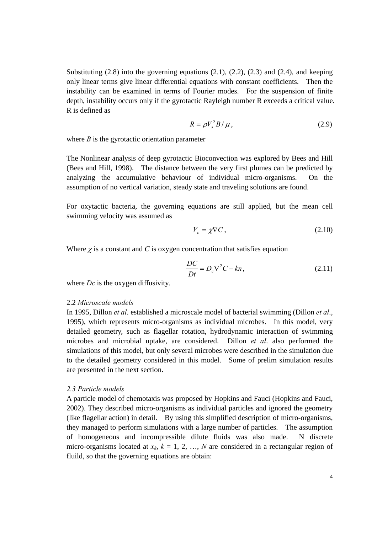Substituting (2.8) into the governing equations (2.1), (2.2), (2.3) and (2.4), and keeping only linear terms give linear differential equations with constant coefficients. Then the instability can be examined in terms of Fourier modes. For the suspension of finite depth, instability occurs only if the gyrotactic Rayleigh number R exceeds a critical value. R is defined as

$$
R = \rho V_s^2 B / \mu, \qquad (2.9)
$$

where  $B$  is the gyrotactic orientation parameter

The Nonlinear analysis of deep gyrotactic Bioconvection was explored by Bees and Hill (Bees and Hill, 1998). The distance between the very first plumes can be predicted by analyzing the accumulative behaviour of individual micro-organisms. On the assumption of no vertical variation, steady state and traveling solutions are found.

For oxytactic bacteria, the governing equations are still applied, but the mean cell swimming velocity was assumed as

$$
V_c = \chi \nabla C, \qquad (2.10)
$$

Where  $\chi$  is a constant and  $C$  is oxygen concentration that satisfies equation

$$
\frac{DC}{Dt} = D_c \nabla^2 C - kn,
$$
\n(2.11)

where *Dc* is the oxygen diffusivity.

#### 2.2 *Microscale models*

In 1995, Dillon *et al*. established a microscale model of bacterial swimming (Dillon *et al*., 1995), which represents micro-organisms as individual microbes. In this model, very detailed geometry, such as flagellar rotation, hydrodynamic interaction of swimming microbes and microbial uptake, are considered. Dillon *et al*. also performed the simulations of this model, but only several microbes were described in the simulation due to the detailed geometry considered in this model. Some of prelim simulation results are presented in the next section.

#### *2.3 Particle models*

A particle model of chemotaxis was proposed by Hopkins and Fauci (Hopkins and Fauci, 2002). They described micro-organisms as individual particles and ignored the geometry (like flagellar action) in detail. By using this simplified description of micro-organisms, they managed to perform simulations with a large number of particles. The assumption of homogeneous and incompressible dilute fluids was also made. N discrete micro-organisms located at  $x_k$ ,  $k = 1, 2, ..., N$  are considered in a rectangular region of fluild, so that the governing equations are obtain: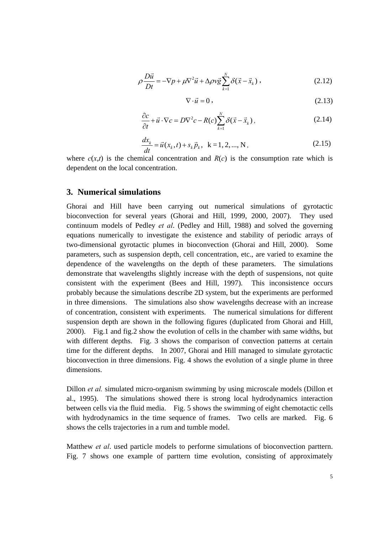$$
\rho \frac{D\vec{u}}{Dt} = -\nabla p + \mu \nabla^2 \vec{u} + \Delta \rho v \vec{g} \sum_{k=1}^N \delta(\vec{x} - \vec{x}_k) , \qquad (2.12)
$$

$$
\nabla \cdot \vec{u} = 0, \qquad (2.13)
$$

$$
\frac{\partial c}{\partial t} + \vec{u} \cdot \nabla c = D \nabla^2 c - R(c) \sum_{k=1}^{N} \delta(\vec{x} - \vec{x}_k), \qquad (2.14)
$$

$$
\frac{dx_k}{dt} = \vec{u}(x_k, t) + s_k \vec{p}_k, \ \ k = 1, 2, ..., N,
$$
\n(2.15)

where  $c(x,t)$  is the chemical concentration and  $R(c)$  is the consumption rate which is dependent on the local concentration.

#### **3. Numerical simulations**

Ghorai and Hill have been carrying out numerical simulations of gyrotactic bioconvection for several years (Ghorai and Hill, 1999, 2000, 2007). They used continuum models of Pedley *et al*. (Pedley and Hill, 1988) and solved the governing equations numerically to investigate the existence and stability of periodic arrays of two-dimensional gyrotactic plumes in bioconvection (Ghorai and Hill, 2000). Some parameters, such as suspension depth, cell concentration, etc., are varied to examine the dependence of the wavelengths on the depth of these parameters. The simulations demonstrate that wavelengths slightly increase with the depth of suspensions, not quite consistent with the experiment (Bees and Hill, 1997). This inconsistence occurs probably because the simulations describe 2D system, but the experiments are performed in three dimensions. The simulations also show wavelengths decrease with an increase of concentration, consistent with experiments. The numerical simulations for different suspension depth are shown in the following figures (duplicated from Ghorai and Hill, 2000). Fig.1 and fig.2 show the evolution of cells in the chamber with same widths, but with different depths. Fig. 3 shows the comparison of convection patterns at certain time for the different depths. In 2007, Ghorai and Hill managed to simulate gyrotactic bioconvection in three dimensions. Fig. 4 shows the evolution of a single plume in three dimensions.

Dillon *et al.* simulated micro-organism swimming by using microscale models (Dillon et al., 1995). The simulations showed there is strong local hydrodynamics interaction between cells via the fluid media. Fig. 5 shows the swimming of eight chemotactic cells with hydrodynamics in the time sequence of frames. Two cells are marked. Fig. 6 shows the cells trajectories in a rum and tumble model.

Matthew *et al*. used particle models to performe simulations of bioconvection parttern. Fig. 7 shows one example of parttern time evolution, consisting of approximately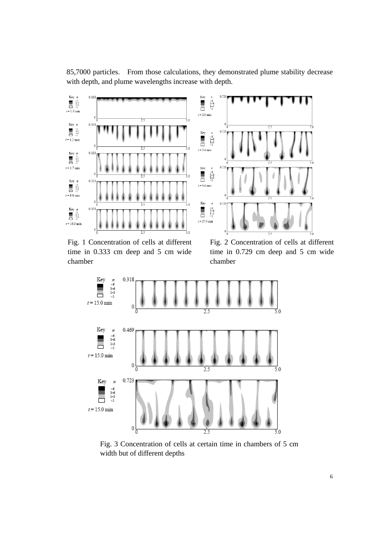



Fig. 1 Concentration of cells at different time in 0.333 cm deep and 5 cm wide chamber

Fig. 2 Concentration of cells at different time in 0.729 cm deep and 5 cm wide chamber



Fig. 3 Concentration of cells at certain time in chambers of 5 cm width but of different depths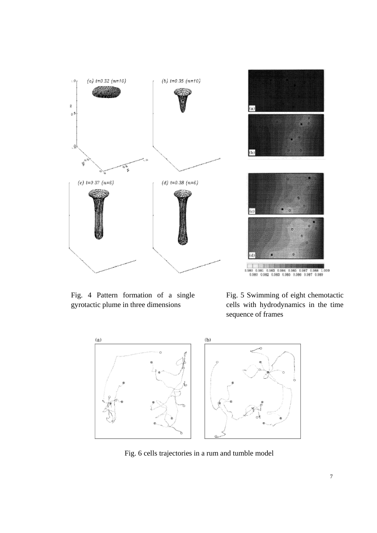

Fig. 4 Pattern formation of a single gyrotactic plume in three dimensions

Fig. 5 Swimming of eight chemotactic cells with hydrodynamics in the time sequence of frames



Fig. 6 cells trajectories in a rum and tumble model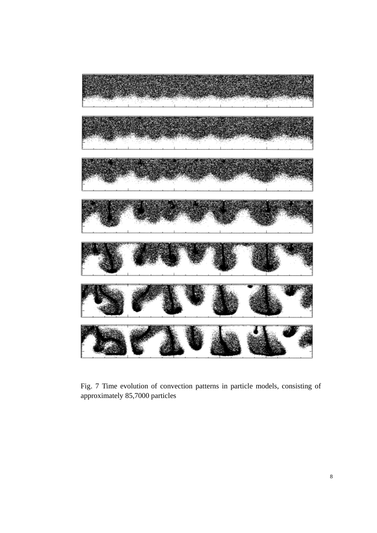

Fig. 7 Time evolution of convection patterns in particle models, consisting of approximately 85,7000 particles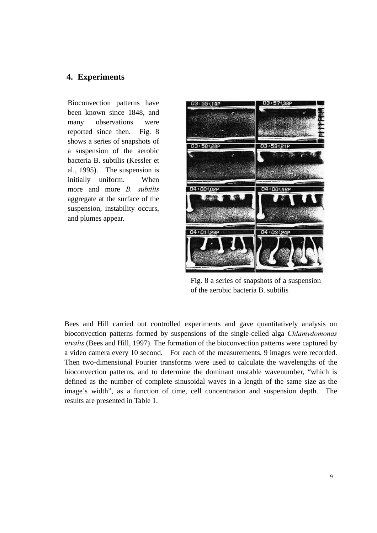## **4. Experiments**

Bioconvection patterns have been known since 1848, and many observations were reported since then. Fig. 8 shows a series of snapshots of a suspension of the aerobic bacteria B. subtilis (Kessler et al., 1995). The suspension is initially uniform. When more and more *B. subtilis* aggregate at the surface of the suspension, instability occurs, and plumes appear.



Fig. 8 a series of snapshots of a suspension of the aerobic bacteria B. subtilis

Bees and Hill carried out controlled experiments and gave quantitatively analysis on bioconvection patterns formed by suspensions of the single-celled alga *Chlamydomonas nivalis* (Bees and Hill, 1997). The formation of the bioconvection patterns were captured by a video camera every 10 second. For each of the measurements, 9 images were recorded. Then two-dimensional Fourier transforms were used to calculate the wavelengths of the bioconvection patterns, and to determine the dominant unstable wavenumber, "which is defined as the number of complete sinusoidal waves in a length of the same size as the image's width", as a function of time, cell concentration and suspension depth. The results are presented in Table 1.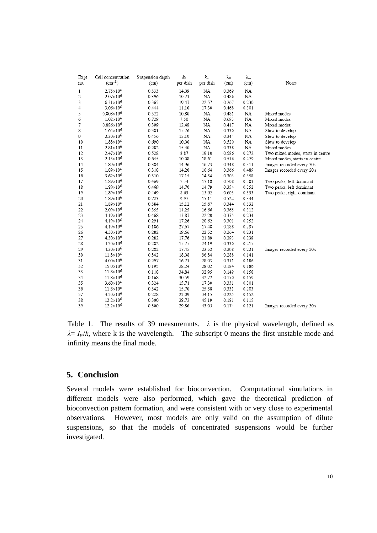| Expt         | Cell concentration<br>$(cm^{-3})$ | Suspension depth | $k_0$    | $k_{\infty}$ | λο    | $\lambda_{\infty}$ | Notes                             |
|--------------|-----------------------------------|------------------|----------|--------------|-------|--------------------|-----------------------------------|
| no.          |                                   | (cm)             | per dish | per dish     | (cm)  | (cm)               |                                   |
| $\mathbf{1}$ | 2.75×10 <sup>6</sup>              | 0.333            | 14.09    | NA           | 0.369 | NA                 |                                   |
| 2            | 2.07×10 <sup>6</sup>              | 0.396            | 10.71    | NA           | 0.486 | NA                 |                                   |
| 3            | $6.31\times10^{6}$                | 0.365            | 19.47    | 22.57        | 0.267 | 0.230              |                                   |
| 4            | 3.06×10 <sup>6</sup>              | 0.444            | 11.10    | 17.30        | 0.468 | 0.301              |                                   |
| 5            | $0.808\times10^{6}$               | 0.522            | 10.80    | NA           | 0.481 | NA                 | Mixed modes                       |
| 6            | $1.02\times10^{6}$                | 0.729            | 7.50     | NA           | 0.693 | NA                 | Mixed modes                       |
| 7            | $0.886\times10^{6}$               | 0.399            | 12.48    | NA           | 0.417 | NA                 | Mixed modes                       |
| 8            | $1.64\times10^{6}$                | 0.381            | 15.76    | ΝA           | 0.330 | NA                 | Slow to develop                   |
| 9            | $2.30\times10^{6}$                | 0.456            | 15.10    | NA           | 0.344 | NA                 | Slow to develop                   |
| 10           | 1.88×10 <sup>6</sup>              | 0.690            | 10.00    | NA           | 0.520 | NA                 | Slow to develop                   |
| 11           | $2.81\times10^{6}$                | 0.282            | 15.40    | NA           | 0.338 | NA                 | Mixed modes                       |
| 12           | $2.47\times10^{6}$                | 0.528            | 8.87     | 19.10        | 0.586 | 0.272              | Two mixed modes, starts in centre |
| 13           | $2.15\times10^{6}$                | 0.645            | 10.08    | 18.61        | 0.516 | 0.279              | Mixed modes, starts in centre     |
| 14           | $1.89\times10^{6}$                | 0.384            | 14.96    | 16.73        | 0.348 | 0.311              | Images recorded every 30s         |
| 15           | 1.89×106                          | 0.318            | 14.20    | 10.64        | 0.366 | 0.489              | Images recorded every 20 s        |
| 16           | $3.62\times10^{6}$                | 0.310            | 17.15    | 14.54        | 0.303 | 0.358              |                                   |
| 17           | $1.89\times10^{6}$                | 0.469            | 7.34     | 17.18        | 0.708 | 0.303              | Two peaks, left dominant          |
| 18           | $1.89\times10^{6}$                | 0.469            | 14.70    | 14.79        | 0.354 | 0.352              | Two peaks, left dominant          |
| 19           | $1.89\times10^{6}$                | 0.469            | 8.63     | 15.62        | 0.603 | 0.333              | Two peaks, right dominant         |
| 20           | $1.89\times10^{6}$                | 0.723            | 9.97     | 15.11        | 0.522 | 0.344              |                                   |
| 21           | 1.89×10 <sup>6</sup>              | 0.384            | 15.12    | 15.67        | 0.344 | 0.332              |                                   |
| 22           | $2.09\times10^{6}$                | 0.355            | 14.25    | 16.66        | 0.365 | 0.312              |                                   |
| 23           | $4.19\times10^{6}$                | 0.468            | 13.87    | 22.20        | 0.375 | 0.234              |                                   |
| 24           | $4.19\times10^{6}$                | 0.291            | 17.26    | 20.62        | 0.301 | 0.252              |                                   |
| 25           | $4.19\times10^{6}$                | 0.186            | 27.67    | 17.48        | 0.188 | 0.297              |                                   |
| 26           | $4.30\times10^{6}$                | 0.282            | 19.66    | 22.52        | 0.264 | 0.231              |                                   |
| 27           | $4.30\times10^{6}$                | 0.282            | 17.76    | 21.89        | 0.293 | 0.238              |                                   |
| 28           | $4.30\times10^{6}$                | 0.282            | 15.75    | 24.19        | 0.330 | 0.215              |                                   |
| 29           | $4.30\times10^{6}$                | 0.282            | 17.45    | 23.52        | 0.298 | 0.221              | Images recorded every 20 s        |
| 30           | $11.8 \times 10^{6}$              | 0.342            | 18.08    | 36.84        | 0.288 | 0.141              |                                   |
| 31           | $4.00\times10^{6}$                | 0.297            | 16.71    | 28.03        | 0.311 | 0.186              |                                   |
| 32           | $15.0\times10^{6}$                | 0.195            | 28.24    | 28.02        | 0.184 | 0.186              |                                   |
| 33           | $11.8 \times 10^{6}$              | 0.118            | 34.84    | 32.95        | 0.149 | 0.158              |                                   |
| 34           | $11.8\times10^{6}$                | 0.168            | 30.59    | 32.72        | 0.170 | 0.159              |                                   |
| 35           | $3.60\times10^{6}$                | 0.324            | 15.71    | 17.30        | 0.331 | 0.301              |                                   |
| 36           | $11.8 \times 10^{6}$              | 0.342            | 15.70    | 25.58        | 0.331 | 0.203              |                                   |
| 37           | $4.30\times10^{6}$                | 0.228            | 23.09    | 34.15        | 0.225 | 0.152              |                                   |
| 38           | $12.2\times10^{6}$                | 0.300            | 28.73    | 45.19        | 0.181 | 0.115              |                                   |
| 39           | $12.2\times10^{6}$                | 0.300            | 29.86    | 43.05        | 0.174 | 0.121              | Images recorded every 30 s        |

Table 1. The results of 39 measuremnts.  $\lambda$  is the physical wavelength, defined as  $\lambda = I_w/k$ , where k is the wavelength. The subscript 0 means the first unstable mode and infinity means the final mode.

# **5. Conclusion**

Several models were established for bioconvection. Computational simulations in different models were also performed, which gave the theoretical prediction of bioconvection pattern formation, and were consistent with or very close to experimental observations. However, most models are only valid on the assumption of dilute suspensions, so that the models of concentrated suspensions would be further investigated.